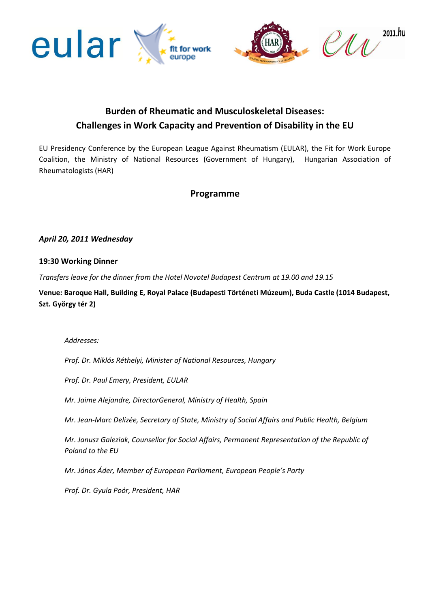



# **Burden of Rheumatic and Musculoskeletal Diseases: Challenges in Work Capacity and Prevention of Disability in the EU**

EU Presidency Conference by the European League Against Rheumatism (EULAR), the Fit for Work Europe Coalition, the Ministry of National Resources (Government of Hungary), Hungarian Association of Rheumatologists (HAR)

## **Programme**

## *April 20, 2011 Wednesday*

#### **19:30 Working Dinner**

*Transfers leave for the dinner from the Hotel Novotel Budapest Centrum at 19.00 and 19.15*

**Venue: Baroque Hall, Building E, Royal Palace (Budapesti Történeti Múzeum), Buda Castle (1014 Budapest, Szt. György tér 2)**

*Addresses:* 

*Prof. Dr. Miklós Réthelyi, Minister of National Resources, Hungary*

*Prof. Dr. Paul Emery, President, EULAR*

*Mr. Jaime Alejandre, DirectorGeneral, Ministry of Health, Spain*

*Mr. Jean-Marc Delizée, Secretary of State, Ministry of Social Affairs and Public Health, Belgium*

*Mr. Janusz Galeziak, Counsellor for Social Affairs, Permanent Representation of the Republic of Poland to the EU*

*Mr. János Áder, Member of European Parliament, European People's Party*

*Prof. Dr. Gyula Poór, President, HAR*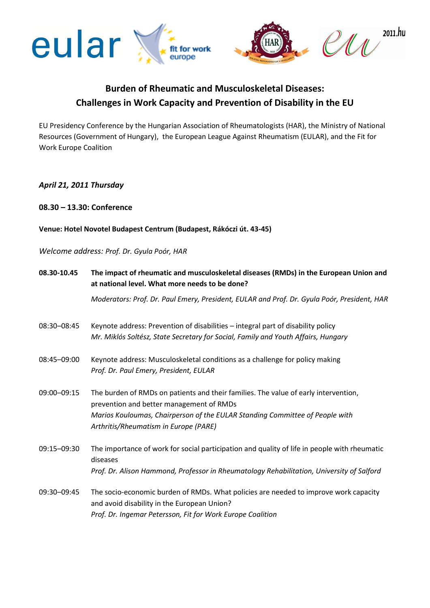

# **Burden of Rheumatic and Musculoskeletal Diseases: Challenges in Work Capacity and Prevention of Disability in the EU**

EU Presidency Conference by the Hungarian Association of Rheumatologists (HAR), the Ministry of National Resources (Government of Hungary), [the](http://www.google.hu/url?sa=t&source=web&cd=1&ved=0CBoQFjAA&url=http%3A%2F%2Fwww.eular.org%2F&ei=JGVdTbrWN4eqhAeCxNmpCA&usg=AFQjCNGmPXvJMz-hWUB05QV0iKnzlX5b3g) European League Against Rheumatism (EULAR), and the Fit for Work Europe Coalition

## *April 21, 2011 Thursday*

### **08.30 – 13.30: Conference**

### **Venue: Hotel Novotel Budapest Centrum (Budapest, Rákóczi út. 43-45)**

#### *Welcome address: Prof. Dr. Gyula Poór, HAR*

| 08.30-10.45 | The impact of rheumatic and musculoskeletal diseases (RMDs) in the European Union and<br>at national level. What more needs to be done? |
|-------------|-----------------------------------------------------------------------------------------------------------------------------------------|
|             | Moderators: Prof. Dr. Paul Emery, President, EULAR and Prof. Dr. Gyula Poór, President, HAR                                             |
| 08:30-08:45 | Keynote address: Prevention of disabilities - integral part of disability policy                                                        |
|             | Mr. Miklós Soltész, State Secretary for Social, Family and Youth Affairs, Hungary                                                       |
| 08:45-09:00 | Keynote address: Musculoskeletal conditions as a challenge for policy making                                                            |
|             | Prof. Dr. Paul Emery, President, EULAR                                                                                                  |
| 09:00-09:15 | The burden of RMDs on patients and their families. The value of early intervention,<br>prevention and better management of RMDs         |
|             | Marios Kouloumas, Chairperson of the EULAR Standing Committee of People with<br>Arthritis/Rheumatism in Europe (PARE)                   |
| 09:15-09:30 | The importance of work for social participation and quality of life in people with rheumatic<br>diseases                                |
|             | Prof. Dr. Alison Hammond, Professor in Rheumatology Rehabilitation, University of Salford                                               |
| 09:30-09:45 | The socio-economic burden of RMDs. What policies are needed to improve work capacity<br>and avoid disability in the European Union?     |
|             | Prof. Dr. Ingemar Petersson, Fit for Work Europe Coalition                                                                              |
|             |                                                                                                                                         |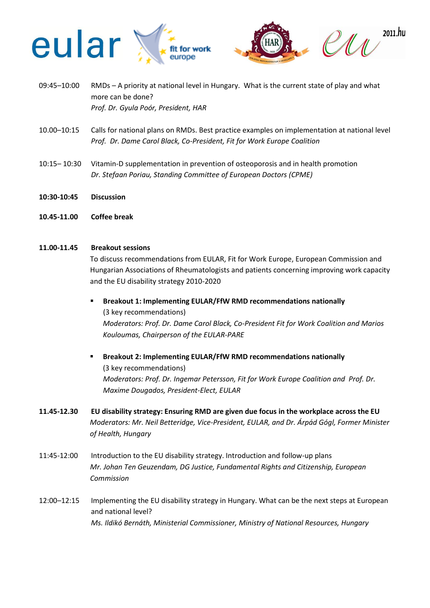

- 09:45–10:00 RMDs A priority at national level in Hungary. What is the current state of play and what more can be done? *Prof. Dr. Gyula Poór, President, HAR*
- 10.00–10:15 Calls for national plans on RMDs. Best practice examples on implementation at national level *Prof. Dr. Dame Carol Black, Co-President, Fit for Work Europe Coalition*
- 10:15– 10:30 Vitamin-D supplementation in prevention of osteoporosis and in health promotion *Dr. Stefaan Poriau, Standing Committee of European Doctors (CPME)*
- **10:30-10:45 Discussion**
- **10.45-11.00 Coffee break**

#### **11.00-11.45 Breakout sessions**

To discuss recommendations from EULAR, Fit for Work Europe, European Commission and Hungarian Associations of Rheumatologists and patients concerning improving work capacity and the EU disability strategy 2010-2020

- **Breakout 1: Implementing EULAR/FfW RMD recommendations nationally**  (3 key recommendations) *Moderators: Prof. Dr. Dame Carol Black, Co-President Fit for Work Coalition and Marios Kouloumas, Chairperson of the EULAR-PARE*
- **Breakout 2: Implementing EULAR/FfW RMD recommendations nationally**  (3 key recommendations) *Moderators: Prof. Dr. Ingemar Petersson, Fit for Work Europe Coalition and Prof. Dr. Maxime Dougados, President-Elect, EULAR*
- **11.45-12.30 EU disability strategy: Ensuring RMD are given due focus in the workplace across the EU** *Moderators: Mr. Neil Betteridge, Vice-President, EULAR, and Dr. Árpád Gógl, Former Minister of Health, Hungary*
- 11:45-12:00 Introduction to the EU disability strategy. Introduction and follow-up plans *Mr. Johan Ten Geuzendam, DG Justice, Fundamental Rights and Citizenship, European Commission*
- 12:00–12:15 Implementing the EU disability strategy in Hungary. What can be the next steps at European and national level? *Ms. Ildikó Bernáth, Ministerial Commissioner, Ministry of National Resources, Hungary*